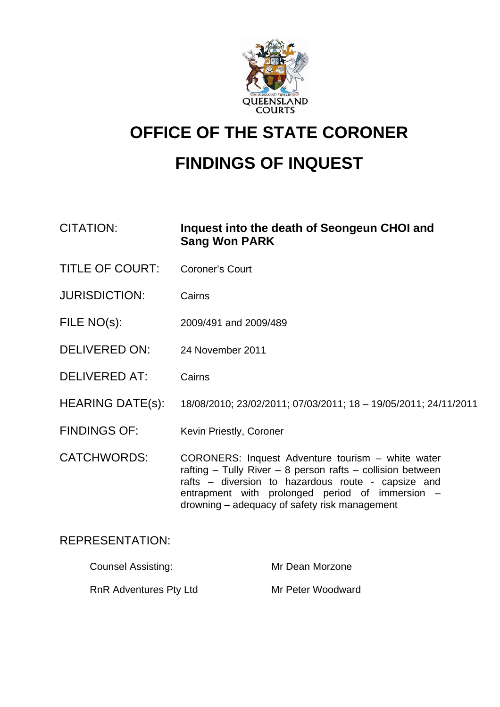

# **OFFICE OF THE STATE CORONER FINDINGS OF INQUEST**

CITATION: **Inquest into the death of Seongeun CHOI and Sang Won PARK** 

- TITLE OF COURT: Coroner's Court
- JURISDICTION: Cairns
- FILE NO(s): 2009/491 and 2009/489
- DELIVERED ON: 24 November 2011
- DELIVERED AT: Cairns
- HEARING DATE(s): 18/08/2010; 23/02/2011; 07/03/2011; 18 19/05/2011; 24/11/2011
- FINDINGS OF: Kevin Priestly, Coroner

CATCHWORDS: CORONERS: Inquest Adventure tourism – white water rafting – Tully River – 8 person rafts – collision between rafts – diversion to hazardous route - capsize and entrapment with prolonged period of immersion – drowning – adequacy of safety risk management

# REPRESENTATION:

| <b>Counsel Assisting:</b>     | Mr Dean Morzone   |
|-------------------------------|-------------------|
| <b>RnR Adventures Pty Ltd</b> | Mr Peter Woodward |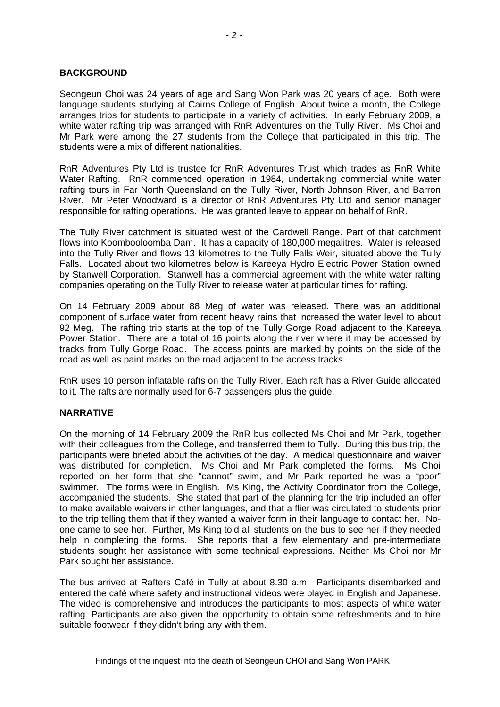# **BACKGROUND**

Seongeun Choi was 24 years of age and Sang Won Park was 20 years of age. Both were language students studying at Cairns College of English. About twice a month, the College arranges trips for students to participate in a variety of activities. In early February 2009, a white water rafting trip was arranged with RnR Adventures on the Tully River. Ms Choi and Mr Park were among the 27 students from the College that participated in this trip. The students were a mix of different nationalities.

RnR Adventures Pty Ltd is trustee for RnR Adventures Trust which trades as RnR White Water Rafting. RnR commenced operation in 1984, undertaking commercial white water rafting tours in Far North Queensland on the Tully River, North Johnson River, and Barron River. Mr Peter Woodward is a director of RnR Adventures Pty Ltd and senior manager responsible for rafting operations. He was granted leave to appear on behalf of RnR.

The Tully River catchment is situated west of the Cardwell Range. Part of that catchment flows into Koombooloomba Dam. It has a capacity of 180,000 megalitres. Water is released into the Tully River and flows 13 kilometres to the Tully Falls Weir, situated above the Tully Falls. Located about two kilometres below is Kareeya Hydro Electric Power Station owned by Stanwell Corporation. Stanwell has a commercial agreement with the white water rafting companies operating on the Tully River to release water at particular times for rafting.

On 14 February 2009 about 88 Meg of water was released. There was an additional component of surface water from recent heavy rains that increased the water level to about 92 Meg. The rafting trip starts at the top of the Tully Gorge Road adjacent to the Kareeya Power Station. There are a total of 16 points along the river where it may be accessed by tracks from Tully Gorge Road. The access points are marked by points on the side of the road as well as paint marks on the road adjacent to the access tracks.

RnR uses 10 person inflatable rafts on the Tully River. Each raft has a River Guide allocated to it. The rafts are normally used for 6-7 passengers plus the guide.

#### **NARRATIVE**

On the morning of 14 February 2009 the RnR bus collected Ms Choi and Mr Park, together with their colleagues from the College, and transferred them to Tully. During this bus trip, the participants were briefed about the activities of the day. A medical questionnaire and waiver was distributed for completion. Ms Choi and Mr Park completed the forms. Ms Choi reported on her form that she "cannot" swim, and Mr Park reported he was a "poor" swimmer. The forms were in English. Ms King, the Activity Coordinator from the College, accompanied the students. She stated that part of the planning for the trip included an offer to make available waivers in other languages, and that a flier was circulated to students prior to the trip telling them that if they wanted a waiver form in their language to contact her. Noone came to see her. Further, Ms King told all students on the bus to see her if they needed help in completing the forms. She reports that a few elementary and pre-intermediate students sought her assistance with some technical expressions. Neither Ms Choi nor Mr Park sought her assistance.

The bus arrived at Rafters Café in Tully at about 8.30 a.m. Participants disembarked and entered the café where safety and instructional videos were played in English and Japanese. The video is comprehensive and introduces the participants to most aspects of white water rafting. Participants are also given the opportunity to obtain some refreshments and to hire suitable footwear if they didn't bring any with them.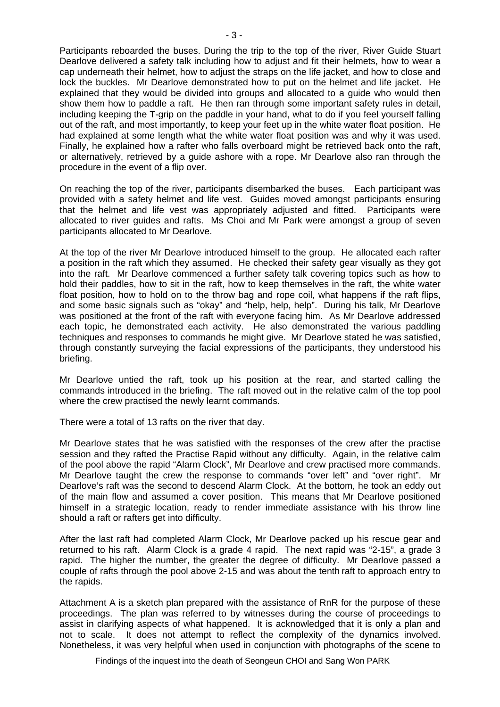Participants reboarded the buses. During the trip to the top of the river, River Guide Stuart Dearlove delivered a safety talk including how to adjust and fit their helmets, how to wear a cap underneath their helmet, how to adjust the straps on the life jacket, and how to close and lock the buckles. Mr Dearlove demonstrated how to put on the helmet and life jacket. He explained that they would be divided into groups and allocated to a guide who would then show them how to paddle a raft. He then ran through some important safety rules in detail, including keeping the T-grip on the paddle in your hand, what to do if you feel yourself falling out of the raft, and most importantly, to keep your feet up in the white water float position. He had explained at some length what the white water float position was and why it was used. Finally, he explained how a rafter who falls overboard might be retrieved back onto the raft. or alternatively, retrieved by a guide ashore with a rope. Mr Dearlove also ran through the procedure in the event of a flip over.

On reaching the top of the river, participants disembarked the buses. Each participant was provided with a safety helmet and life vest. Guides moved amongst participants ensuring that the helmet and life vest was appropriately adjusted and fitted. Participants were allocated to river guides and rafts. Ms Choi and Mr Park were amongst a group of seven participants allocated to Mr Dearlove.

At the top of the river Mr Dearlove introduced himself to the group. He allocated each rafter a position in the raft which they assumed. He checked their safety gear visually as they got into the raft. Mr Dearlove commenced a further safety talk covering topics such as how to hold their paddles, how to sit in the raft, how to keep themselves in the raft, the white water float position, how to hold on to the throw bag and rope coil, what happens if the raft flips, and some basic signals such as "okay" and "help, help, help". During his talk, Mr Dearlove was positioned at the front of the raft with everyone facing him. As Mr Dearlove addressed each topic, he demonstrated each activity. He also demonstrated the various paddling techniques and responses to commands he might give. Mr Dearlove stated he was satisfied, through constantly surveying the facial expressions of the participants, they understood his briefing.

Mr Dearlove untied the raft, took up his position at the rear, and started calling the commands introduced in the briefing. The raft moved out in the relative calm of the top pool where the crew practised the newly learnt commands.

There were a total of 13 rafts on the river that day.

Mr Dearlove states that he was satisfied with the responses of the crew after the practise session and they rafted the Practise Rapid without any difficulty. Again, in the relative calm of the pool above the rapid "Alarm Clock", Mr Dearlove and crew practised more commands. Mr Dearlove taught the crew the response to commands "over left" and "over right". Mr Dearlove's raft was the second to descend Alarm Clock. At the bottom, he took an eddy out of the main flow and assumed a cover position. This means that Mr Dearlove positioned himself in a strategic location, ready to render immediate assistance with his throw line should a raft or rafters get into difficulty.

After the last raft had completed Alarm Clock, Mr Dearlove packed up his rescue gear and returned to his raft. Alarm Clock is a grade 4 rapid. The next rapid was "2-15", a grade 3 rapid. The higher the number, the greater the degree of difficulty. Mr Dearlove passed a couple of rafts through the pool above 2-15 and was about the tenth raft to approach entry to the rapids.

Attachment A is a sketch plan prepared with the assistance of RnR for the purpose of these proceedings. The plan was referred to by witnesses during the course of proceedings to assist in clarifying aspects of what happened. It is acknowledged that it is only a plan and not to scale. It does not attempt to reflect the complexity of the dynamics involved. Nonetheless, it was very helpful when used in conjunction with photographs of the scene to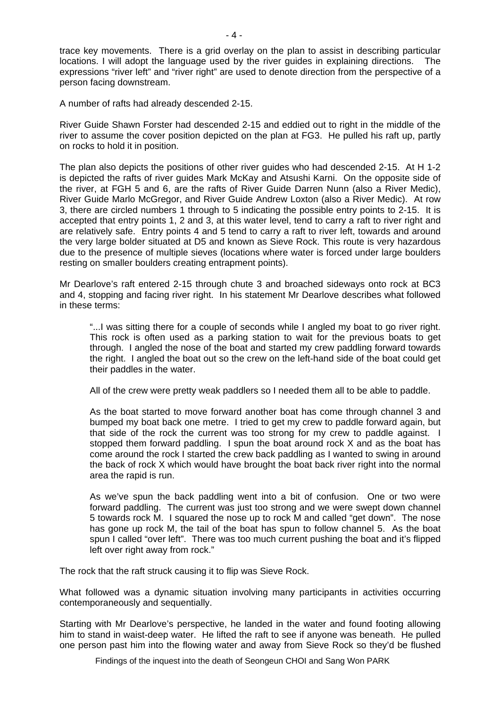trace key movements. There is a grid overlay on the plan to assist in describing particular locations. I will adopt the language used by the river guides in explaining directions. The expressions "river left" and "river right" are used to denote direction from the perspective of a person facing downstream.

A number of rafts had already descended 2-15.

River Guide Shawn Forster had descended 2-15 and eddied out to right in the middle of the river to assume the cover position depicted on the plan at FG3. He pulled his raft up, partly on rocks to hold it in position.

The plan also depicts the positions of other river guides who had descended 2-15. At H 1-2 is depicted the rafts of river guides Mark McKay and Atsushi Karni. On the opposite side of the river, at FGH 5 and 6, are the rafts of River Guide Darren Nunn (also a River Medic), River Guide Marlo McGregor, and River Guide Andrew Loxton (also a River Medic). At row 3, there are circled numbers 1 through to 5 indicating the possible entry points to 2-15. It is accepted that entry points 1, 2 and 3, at this water level, tend to carry a raft to river right and are relatively safe. Entry points 4 and 5 tend to carry a raft to river left, towards and around the very large bolder situated at D5 and known as Sieve Rock. This route is very hazardous due to the presence of multiple sieves (locations where water is forced under large boulders resting on smaller boulders creating entrapment points).

Mr Dearlove's raft entered 2-15 through chute 3 and broached sideways onto rock at BC3 and 4, stopping and facing river right. In his statement Mr Dearlove describes what followed in these terms:

 "...I was sitting there for a couple of seconds while I angled my boat to go river right. This rock is often used as a parking station to wait for the previous boats to get through. I angled the nose of the boat and started my crew paddling forward towards the right. I angled the boat out so the crew on the left-hand side of the boat could get their paddles in the water.

All of the crew were pretty weak paddlers so I needed them all to be able to paddle.

 As the boat started to move forward another boat has come through channel 3 and bumped my boat back one metre. I tried to get my crew to paddle forward again, but that side of the rock the current was too strong for my crew to paddle against. I stopped them forward paddling. I spun the boat around rock X and as the boat has come around the rock I started the crew back paddling as I wanted to swing in around the back of rock X which would have brought the boat back river right into the normal area the rapid is run.

 As we've spun the back paddling went into a bit of confusion. One or two were forward paddling. The current was just too strong and we were swept down channel 5 towards rock M. I squared the nose up to rock M and called "get down". The nose has gone up rock M, the tail of the boat has spun to follow channel 5. As the boat spun I called "over left". There was too much current pushing the boat and it's flipped left over right away from rock."

The rock that the raft struck causing it to flip was Sieve Rock.

What followed was a dynamic situation involving many participants in activities occurring contemporaneously and sequentially.

Starting with Mr Dearlove's perspective, he landed in the water and found footing allowing him to stand in waist-deep water. He lifted the raft to see if anyone was beneath. He pulled one person past him into the flowing water and away from Sieve Rock so they'd be flushed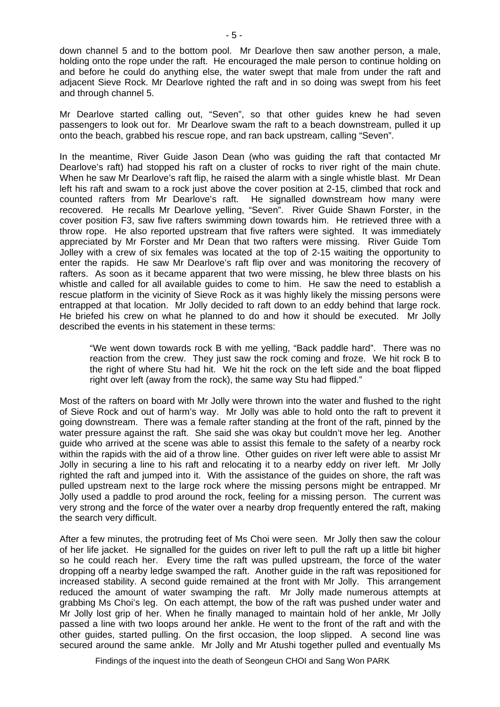down channel 5 and to the bottom pool. Mr Dearlove then saw another person, a male, holding onto the rope under the raft. He encouraged the male person to continue holding on and before he could do anything else, the water swept that male from under the raft and adjacent Sieve Rock. Mr Dearlove righted the raft and in so doing was swept from his feet and through channel 5.

Mr Dearlove started calling out, "Seven", so that other guides knew he had seven passengers to look out for. Mr Dearlove swam the raft to a beach downstream, pulled it up onto the beach, grabbed his rescue rope, and ran back upstream, calling "Seven".

In the meantime, River Guide Jason Dean (who was guiding the raft that contacted Mr Dearlove's raft) had stopped his raft on a cluster of rocks to river right of the main chute. When he saw Mr Dearlove's raft flip, he raised the alarm with a single whistle blast. Mr Dean left his raft and swam to a rock just above the cover position at 2-15, climbed that rock and counted rafters from Mr Dearlove's raft. He signalled downstream how many were recovered. He recalls Mr Dearlove yelling, "Seven". River Guide Shawn Forster, in the cover position F3, saw five rafters swimming down towards him. He retrieved three with a throw rope. He also reported upstream that five rafters were sighted. It was immediately appreciated by Mr Forster and Mr Dean that two rafters were missing. River Guide Tom Jolley with a crew of six females was located at the top of 2-15 waiting the opportunity to enter the rapids. He saw Mr Dearlove's raft flip over and was monitoring the recovery of rafters. As soon as it became apparent that two were missing, he blew three blasts on his whistle and called for all available guides to come to him. He saw the need to establish a rescue platform in the vicinity of Sieve Rock as it was highly likely the missing persons were entrapped at that location. Mr Jolly decided to raft down to an eddy behind that large rock. He briefed his crew on what he planned to do and how it should be executed. Mr Jolly described the events in his statement in these terms:

 "We went down towards rock B with me yelling, "Back paddle hard". There was no reaction from the crew. They just saw the rock coming and froze. We hit rock B to the right of where Stu had hit. We hit the rock on the left side and the boat flipped right over left (away from the rock), the same way Stu had flipped."

Most of the rafters on board with Mr Jolly were thrown into the water and flushed to the right of Sieve Rock and out of harm's way. Mr Jolly was able to hold onto the raft to prevent it going downstream. There was a female rafter standing at the front of the raft, pinned by the water pressure against the raft. She said she was okay but couldn't move her leg. Another guide who arrived at the scene was able to assist this female to the safety of a nearby rock within the rapids with the aid of a throw line. Other guides on river left were able to assist Mr Jolly in securing a line to his raft and relocating it to a nearby eddy on river left. Mr Jolly righted the raft and jumped into it. With the assistance of the guides on shore, the raft was pulled upstream next to the large rock where the missing persons might be entrapped. Mr Jolly used a paddle to prod around the rock, feeling for a missing person. The current was very strong and the force of the water over a nearby drop frequently entered the raft, making the search very difficult.

After a few minutes, the protruding feet of Ms Choi were seen. Mr Jolly then saw the colour of her life jacket. He signalled for the guides on river left to pull the raft up a little bit higher so he could reach her. Every time the raft was pulled upstream, the force of the water dropping off a nearby ledge swamped the raft. Another guide in the raft was repositioned for increased stability. A second guide remained at the front with Mr Jolly. This arrangement reduced the amount of water swamping the raft. Mr Jolly made numerous attempts at grabbing Ms Choi's leg. On each attempt, the bow of the raft was pushed under water and Mr Jolly lost grip of her. When he finally managed to maintain hold of her ankle, Mr Jolly passed a line with two loops around her ankle. He went to the front of the raft and with the other guides, started pulling. On the first occasion, the loop slipped. A second line was secured around the same ankle. Mr Jolly and Mr Atushi together pulled and eventually Ms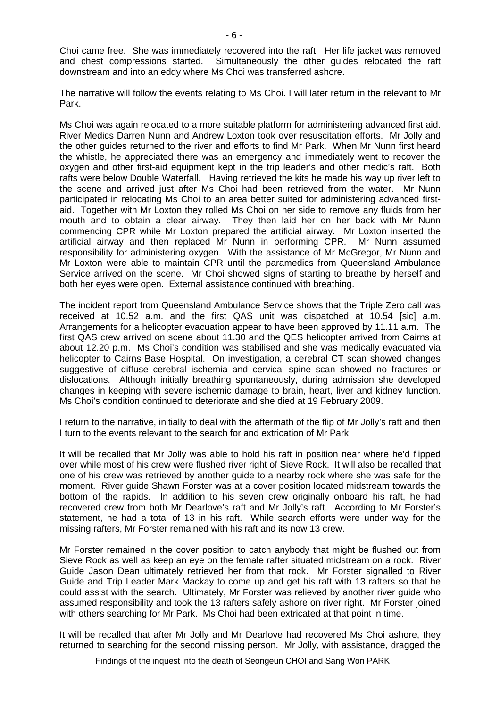Choi came free. She was immediately recovered into the raft. Her life jacket was removed and chest compressions started. Simultaneously the other guides relocated the raft downstream and into an eddy where Ms Choi was transferred ashore.

The narrative will follow the events relating to Ms Choi. I will later return in the relevant to Mr Park.

Ms Choi was again relocated to a more suitable platform for administering advanced first aid. River Medics Darren Nunn and Andrew Loxton took over resuscitation efforts. Mr Jolly and the other guides returned to the river and efforts to find Mr Park. When Mr Nunn first heard the whistle, he appreciated there was an emergency and immediately went to recover the oxygen and other first-aid equipment kept in the trip leader's and other medic's raft. Both rafts were below Double Waterfall. Having retrieved the kits he made his way up river left to the scene and arrived just after Ms Choi had been retrieved from the water. Mr Nunn participated in relocating Ms Choi to an area better suited for administering advanced firstaid. Together with Mr Loxton they rolled Ms Choi on her side to remove any fluids from her mouth and to obtain a clear airway. They then laid her on her back with Mr Nunn commencing CPR while Mr Loxton prepared the artificial airway. Mr Loxton inserted the artificial airway and then replaced Mr Nunn in performing CPR. Mr Nunn assumed responsibility for administering oxygen. With the assistance of Mr McGregor, Mr Nunn and Mr Loxton were able to maintain CPR until the paramedics from Queensland Ambulance Service arrived on the scene. Mr Choi showed signs of starting to breathe by herself and both her eyes were open. External assistance continued with breathing.

The incident report from Queensland Ambulance Service shows that the Triple Zero call was received at 10.52 a.m. and the first QAS unit was dispatched at 10.54 [sic] a.m. Arrangements for a helicopter evacuation appear to have been approved by 11.11 a.m. The first QAS crew arrived on scene about 11.30 and the QES helicopter arrived from Cairns at about 12.20 p.m. Ms Choi's condition was stabilised and she was medically evacuated via helicopter to Cairns Base Hospital. On investigation, a cerebral CT scan showed changes suggestive of diffuse cerebral ischemia and cervical spine scan showed no fractures or dislocations. Although initially breathing spontaneously, during admission she developed changes in keeping with severe ischemic damage to brain, heart, liver and kidney function. Ms Choi's condition continued to deteriorate and she died at 19 February 2009.

I return to the narrative, initially to deal with the aftermath of the flip of Mr Jolly's raft and then I turn to the events relevant to the search for and extrication of Mr Park.

It will be recalled that Mr Jolly was able to hold his raft in position near where he'd flipped over while most of his crew were flushed river right of Sieve Rock. It will also be recalled that one of his crew was retrieved by another guide to a nearby rock where she was safe for the moment. River guide Shawn Forster was at a cover position located midstream towards the bottom of the rapids. In addition to his seven crew originally onboard his raft, he had recovered crew from both Mr Dearlove's raft and Mr Jolly's raft. According to Mr Forster's statement, he had a total of 13 in his raft. While search efforts were under way for the missing rafters, Mr Forster remained with his raft and its now 13 crew.

Mr Forster remained in the cover position to catch anybody that might be flushed out from Sieve Rock as well as keep an eye on the female rafter situated midstream on a rock. River Guide Jason Dean ultimately retrieved her from that rock. Mr Forster signalled to River Guide and Trip Leader Mark Mackay to come up and get his raft with 13 rafters so that he could assist with the search. Ultimately, Mr Forster was relieved by another river guide who assumed responsibility and took the 13 rafters safely ashore on river right. Mr Forster joined with others searching for Mr Park. Ms Choi had been extricated at that point in time.

It will be recalled that after Mr Jolly and Mr Dearlove had recovered Ms Choi ashore, they returned to searching for the second missing person. Mr Jolly, with assistance, dragged the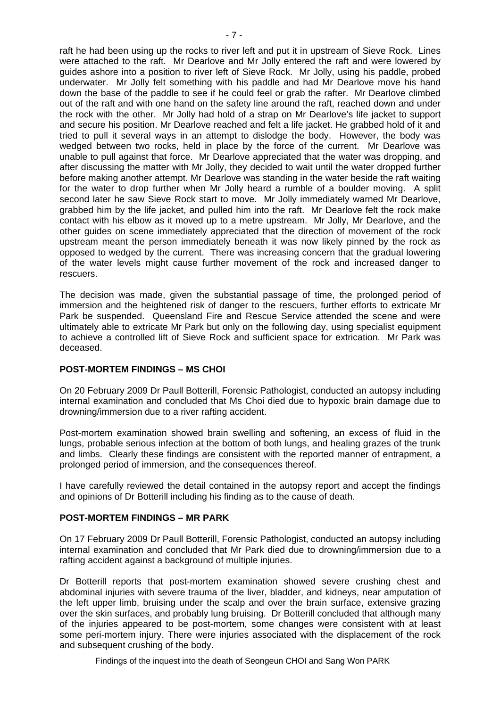raft he had been using up the rocks to river left and put it in upstream of Sieve Rock. Lines were attached to the raft. Mr Dearlove and Mr Jolly entered the raft and were lowered by guides ashore into a position to river left of Sieve Rock. Mr Jolly, using his paddle, probed underwater. Mr Jolly felt something with his paddle and had Mr Dearlove move his hand down the base of the paddle to see if he could feel or grab the rafter. Mr Dearlove climbed out of the raft and with one hand on the safety line around the raft, reached down and under the rock with the other. Mr Jolly had hold of a strap on Mr Dearlove's life jacket to support and secure his position. Mr Dearlove reached and felt a life jacket. He grabbed hold of it and tried to pull it several ways in an attempt to dislodge the body. However, the body was wedged between two rocks, held in place by the force of the current. Mr Dearlove was unable to pull against that force. Mr Dearlove appreciated that the water was dropping, and after discussing the matter with Mr Jolly, they decided to wait until the water dropped further before making another attempt. Mr Dearlove was standing in the water beside the raft waiting for the water to drop further when Mr Jolly heard a rumble of a boulder moving. A split second later he saw Sieve Rock start to move. Mr Jolly immediately warned Mr Dearlove, grabbed him by the life jacket, and pulled him into the raft. Mr Dearlove felt the rock make contact with his elbow as it moved up to a metre upstream. Mr Jolly, Mr Dearlove, and the other guides on scene immediately appreciated that the direction of movement of the rock upstream meant the person immediately beneath it was now likely pinned by the rock as opposed to wedged by the current. There was increasing concern that the gradual lowering of the water levels might cause further movement of the rock and increased danger to rescuers.

The decision was made, given the substantial passage of time, the prolonged period of immersion and the heightened risk of danger to the rescuers, further efforts to extricate Mr Park be suspended. Queensland Fire and Rescue Service attended the scene and were ultimately able to extricate Mr Park but only on the following day, using specialist equipment to achieve a controlled lift of Sieve Rock and sufficient space for extrication. Mr Park was deceased.

# **POST-MORTEM FINDINGS – MS CHOI**

On 20 February 2009 Dr Paull Botterill, Forensic Pathologist, conducted an autopsy including internal examination and concluded that Ms Choi died due to hypoxic brain damage due to drowning/immersion due to a river rafting accident.

Post-mortem examination showed brain swelling and softening, an excess of fluid in the lungs, probable serious infection at the bottom of both lungs, and healing grazes of the trunk and limbs. Clearly these findings are consistent with the reported manner of entrapment, a prolonged period of immersion, and the consequences thereof.

I have carefully reviewed the detail contained in the autopsy report and accept the findings and opinions of Dr Botterill including his finding as to the cause of death.

# **POST-MORTEM FINDINGS – MR PARK**

On 17 February 2009 Dr Paull Botterill, Forensic Pathologist, conducted an autopsy including internal examination and concluded that Mr Park died due to drowning/immersion due to a rafting accident against a background of multiple injuries.

Dr Botterill reports that post-mortem examination showed severe crushing chest and abdominal injuries with severe trauma of the liver, bladder, and kidneys, near amputation of the left upper limb, bruising under the scalp and over the brain surface, extensive grazing over the skin surfaces, and probably lung bruising. Dr Botterill concluded that although many of the injuries appeared to be post-mortem, some changes were consistent with at least some peri-mortem injury. There were injuries associated with the displacement of the rock and subsequent crushing of the body.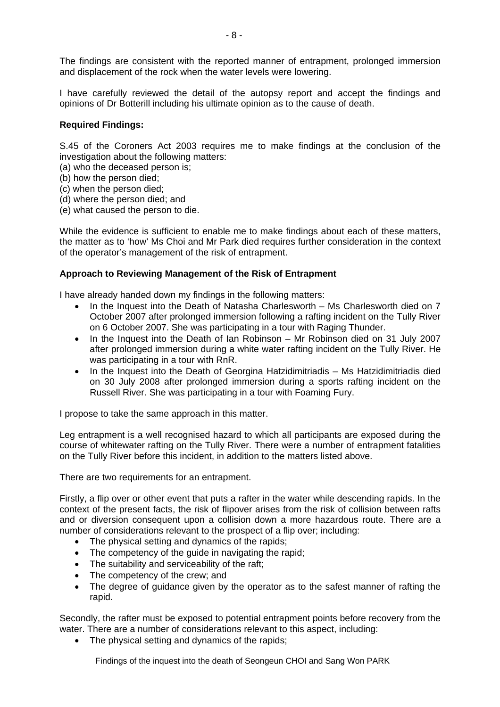The findings are consistent with the reported manner of entrapment, prolonged immersion and displacement of the rock when the water levels were lowering.

I have carefully reviewed the detail of the autopsy report and accept the findings and opinions of Dr Botterill including his ultimate opinion as to the cause of death.

#### **Required Findings:**

S.45 of the Coroners Act 2003 requires me to make findings at the conclusion of the investigation about the following matters:

- (a) who the deceased person is;
- (b) how the person died;
- (c) when the person died;
- (d) where the person died; and
- (e) what caused the person to die.

While the evidence is sufficient to enable me to make findings about each of these matters, the matter as to 'how' Ms Choi and Mr Park died requires further consideration in the context of the operator's management of the risk of entrapment.

#### **Approach to Reviewing Management of the Risk of Entrapment**

I have already handed down my findings in the following matters:

- In the Inquest into the Death of Natasha Charlesworth Ms Charlesworth died on 7 October 2007 after prolonged immersion following a rafting incident on the Tully River on 6 October 2007. She was participating in a tour with Raging Thunder.
- In the Inquest into the Death of Ian Robinson Mr Robinson died on 31 July 2007 after prolonged immersion during a white water rafting incident on the Tully River. He was participating in a tour with RnR.
- In the Inquest into the Death of Georgina Hatzidimitriadis Ms Hatzidimitriadis died on 30 July 2008 after prolonged immersion during a sports rafting incident on the Russell River. She was participating in a tour with Foaming Fury.

I propose to take the same approach in this matter.

Leg entrapment is a well recognised hazard to which all participants are exposed during the course of whitewater rafting on the Tully River. There were a number of entrapment fatalities on the Tully River before this incident, in addition to the matters listed above.

There are two requirements for an entrapment.

Firstly, a flip over or other event that puts a rafter in the water while descending rapids. In the context of the present facts, the risk of flipover arises from the risk of collision between rafts and or diversion consequent upon a collision down a more hazardous route. There are a number of considerations relevant to the prospect of a flip over; including:

- The physical setting and dynamics of the rapids;
- The competency of the guide in navigating the rapid;
- The suitability and serviceability of the raft;
- The competency of the crew; and
- The degree of guidance given by the operator as to the safest manner of rafting the rapid.

Secondly, the rafter must be exposed to potential entrapment points before recovery from the water. There are a number of considerations relevant to this aspect, including:

• The physical setting and dynamics of the rapids;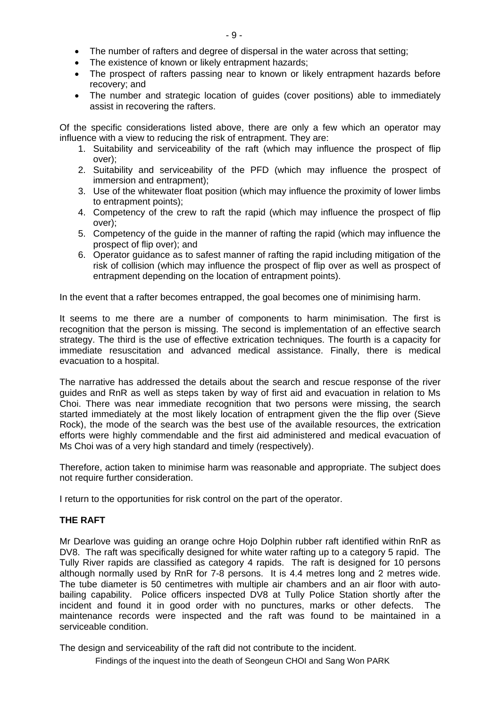- The number of rafters and degree of dispersal in the water across that setting;
- The existence of known or likely entrapment hazards:
- The prospect of rafters passing near to known or likely entrapment hazards before recovery; and
- The number and strategic location of guides (cover positions) able to immediately assist in recovering the rafters.

Of the specific considerations listed above, there are only a few which an operator may influence with a view to reducing the risk of entrapment. They are:

- 1. Suitability and serviceability of the raft (which may influence the prospect of flip over);
- 2. Suitability and serviceability of the PFD (which may influence the prospect of immersion and entrapment);
- 3. Use of the whitewater float position (which may influence the proximity of lower limbs to entrapment points);
- 4. Competency of the crew to raft the rapid (which may influence the prospect of flip over);
- 5. Competency of the guide in the manner of rafting the rapid (which may influence the prospect of flip over); and
- 6. Operator guidance as to safest manner of rafting the rapid including mitigation of the risk of collision (which may influence the prospect of flip over as well as prospect of entrapment depending on the location of entrapment points).

In the event that a rafter becomes entrapped, the goal becomes one of minimising harm.

It seems to me there are a number of components to harm minimisation. The first is recognition that the person is missing. The second is implementation of an effective search strategy. The third is the use of effective extrication techniques. The fourth is a capacity for immediate resuscitation and advanced medical assistance. Finally, there is medical evacuation to a hospital.

The narrative has addressed the details about the search and rescue response of the river guides and RnR as well as steps taken by way of first aid and evacuation in relation to Ms Choi. There was near immediate recognition that two persons were missing, the search started immediately at the most likely location of entrapment given the the flip over (Sieve Rock), the mode of the search was the best use of the available resources, the extrication efforts were highly commendable and the first aid administered and medical evacuation of Ms Choi was of a very high standard and timely (respectively).

Therefore, action taken to minimise harm was reasonable and appropriate. The subject does not require further consideration.

I return to the opportunities for risk control on the part of the operator.

#### **THE RAFT**

Mr Dearlove was guiding an orange ochre Hojo Dolphin rubber raft identified within RnR as DV8. The raft was specifically designed for white water rafting up to a category 5 rapid. The Tully River rapids are classified as category 4 rapids. The raft is designed for 10 persons although normally used by RnR for 7-8 persons. It is 4.4 metres long and 2 metres wide. The tube diameter is 50 centimetres with multiple air chambers and an air floor with autobailing capability. Police officers inspected DV8 at Tully Police Station shortly after the incident and found it in good order with no punctures, marks or other defects. The maintenance records were inspected and the raft was found to be maintained in a serviceable condition.

The design and serviceability of the raft did not contribute to the incident.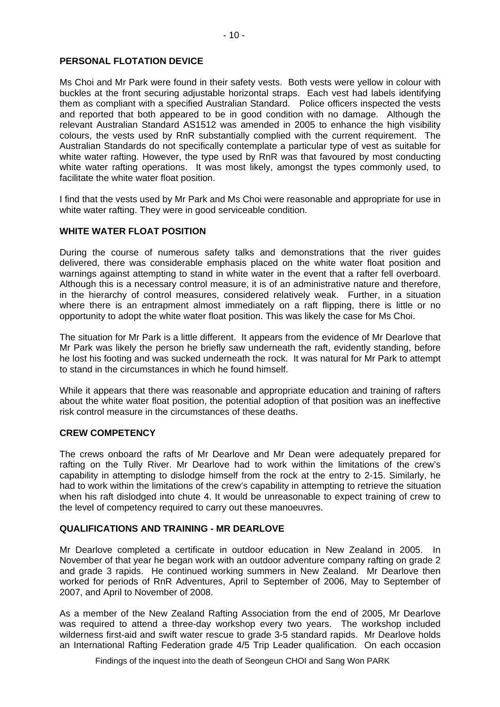Ms Choi and Mr Park were found in their safety vests. Both vests were yellow in colour with buckles at the front securing adjustable horizontal straps. Each vest had labels identifying them as compliant with a specified Australian Standard. Police officers inspected the vests and reported that both appeared to be in good condition with no damage. Although the relevant Australian Standard AS1512 was amended in 2005 to enhance the high visibility colours, the vests used by RnR substantially complied with the current requirement. The Australian Standards do not specifically contemplate a particular type of vest as suitable for white water rafting. However, the type used by RnR was that favoured by most conducting white water rafting operations. It was most likely, amongst the types commonly used, to facilitate the white water float position.

I find that the vests used by Mr Park and Ms Choi were reasonable and appropriate for use in white water rafting. They were in good serviceable condition.

# **WHITE WATER FLOAT POSITION**

During the course of numerous safety talks and demonstrations that the river guides delivered, there was considerable emphasis placed on the white water float position and warnings against attempting to stand in white water in the event that a rafter fell overboard. Although this is a necessary control measure, it is of an administrative nature and therefore, in the hierarchy of control measures, considered relatively weak. Further, in a situation where there is an entrapment almost immediately on a raft flipping, there is little or no opportunity to adopt the white water float position. This was likely the case for Ms Choi.

The situation for Mr Park is a little different. It appears from the evidence of Mr Dearlove that Mr Park was likely the person he briefly saw underneath the raft, evidently standing, before he lost his footing and was sucked underneath the rock. It was natural for Mr Park to attempt to stand in the circumstances in which he found himself.

While it appears that there was reasonable and appropriate education and training of rafters about the white water float position, the potential adoption of that position was an ineffective risk control measure in the circumstances of these deaths.

# **CREW COMPETENCY**

The crews onboard the rafts of Mr Dearlove and Mr Dean were adequately prepared for rafting on the Tully River. Mr Dearlove had to work within the limitations of the crew's capability in attempting to dislodge himself from the rock at the entry to 2-15. Similarly, he had to work within the limitations of the crew's capability in attempting to retrieve the situation when his raft dislodged into chute 4. It would be unreasonable to expect training of crew to the level of competency required to carry out these manoeuvres.

# **QUALIFICATIONS AND TRAINING - MR DEARLOVE**

Mr Dearlove completed a certificate in outdoor education in New Zealand in 2005. In November of that year he began work with an outdoor adventure company rafting on grade 2 and grade 3 rapids. He continued working summers in New Zealand. Mr Dearlove then worked for periods of RnR Adventures, April to September of 2006, May to September of 2007, and April to November of 2008.

As a member of the New Zealand Rafting Association from the end of 2005, Mr Dearlove was required to attend a three-day workshop every two years. The workshop included wilderness first-aid and swift water rescue to grade 3-5 standard rapids. Mr Dearlove holds an International Rafting Federation grade 4/5 Trip Leader qualification. On each occasion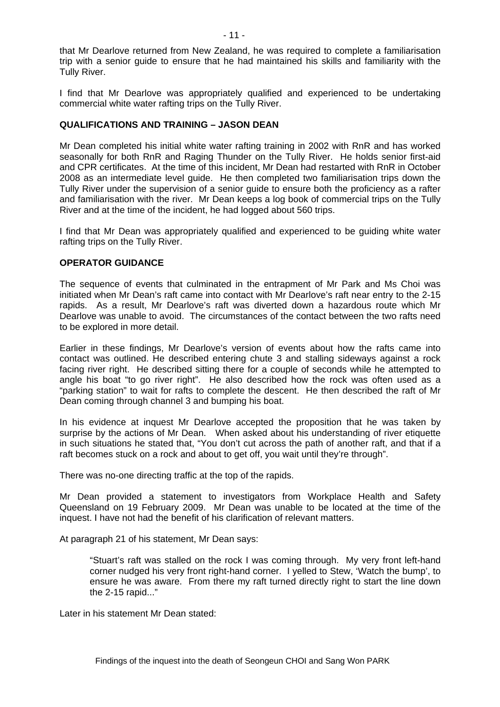that Mr Dearlove returned from New Zealand, he was required to complete a familiarisation trip with a senior guide to ensure that he had maintained his skills and familiarity with the Tully River.

I find that Mr Dearlove was appropriately qualified and experienced to be undertaking commercial white water rafting trips on the Tully River.

#### **QUALIFICATIONS AND TRAINING – JASON DEAN**

Mr Dean completed his initial white water rafting training in 2002 with RnR and has worked seasonally for both RnR and Raging Thunder on the Tully River. He holds senior first-aid and CPR certificates. At the time of this incident, Mr Dean had restarted with RnR in October 2008 as an intermediate level guide. He then completed two familiarisation trips down the Tully River under the supervision of a senior guide to ensure both the proficiency as a rafter and familiarisation with the river. Mr Dean keeps a log book of commercial trips on the Tully River and at the time of the incident, he had logged about 560 trips.

I find that Mr Dean was appropriately qualified and experienced to be guiding white water rafting trips on the Tully River.

#### **OPERATOR GUIDANCE**

The sequence of events that culminated in the entrapment of Mr Park and Ms Choi was initiated when Mr Dean's raft came into contact with Mr Dearlove's raft near entry to the 2-15 rapids. As a result, Mr Dearlove's raft was diverted down a hazardous route which Mr Dearlove was unable to avoid. The circumstances of the contact between the two rafts need to be explored in more detail.

Earlier in these findings, Mr Dearlove's version of events about how the rafts came into contact was outlined. He described entering chute 3 and stalling sideways against a rock facing river right. He described sitting there for a couple of seconds while he attempted to angle his boat "to go river right". He also described how the rock was often used as a "parking station" to wait for rafts to complete the descent. He then described the raft of Mr Dean coming through channel 3 and bumping his boat.

In his evidence at inquest Mr Dearlove accepted the proposition that he was taken by surprise by the actions of Mr Dean. When asked about his understanding of river etiquette in such situations he stated that, "You don't cut across the path of another raft, and that if a raft becomes stuck on a rock and about to get off, you wait until they're through".

There was no-one directing traffic at the top of the rapids.

Mr Dean provided a statement to investigators from Workplace Health and Safety Queensland on 19 February 2009. Mr Dean was unable to be located at the time of the inquest. I have not had the benefit of his clarification of relevant matters.

At paragraph 21 of his statement, Mr Dean says:

 "Stuart's raft was stalled on the rock I was coming through. My very front left-hand corner nudged his very front right-hand corner. I yelled to Stew, 'Watch the bump', to ensure he was aware. From there my raft turned directly right to start the line down the 2-15 rapid..."

Later in his statement Mr Dean stated: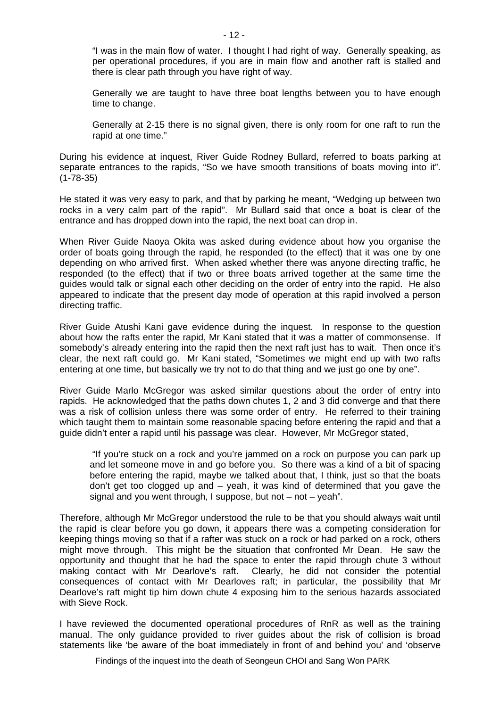"I was in the main flow of water. I thought I had right of way. Generally speaking, as per operational procedures, if you are in main flow and another raft is stalled and there is clear path through you have right of way.

Generally we are taught to have three boat lengths between you to have enough time to change.

Generally at 2-15 there is no signal given, there is only room for one raft to run the rapid at one time."

During his evidence at inquest, River Guide Rodney Bullard, referred to boats parking at separate entrances to the rapids, "So we have smooth transitions of boats moving into it". (1-78-35)

He stated it was very easy to park, and that by parking he meant, "Wedging up between two rocks in a very calm part of the rapid". Mr Bullard said that once a boat is clear of the entrance and has dropped down into the rapid, the next boat can drop in.

When River Guide Naoya Okita was asked during evidence about how you organise the order of boats going through the rapid, he responded (to the effect) that it was one by one depending on who arrived first. When asked whether there was anyone directing traffic, he responded (to the effect) that if two or three boats arrived together at the same time the guides would talk or signal each other deciding on the order of entry into the rapid. He also appeared to indicate that the present day mode of operation at this rapid involved a person directing traffic.

River Guide Atushi Kani gave evidence during the inquest. In response to the question about how the rafts enter the rapid, Mr Kani stated that it was a matter of commonsense. If somebody's already entering into the rapid then the next raft just has to wait. Then once it's clear, the next raft could go. Mr Kani stated, "Sometimes we might end up with two rafts entering at one time, but basically we try not to do that thing and we just go one by one".

River Guide Marlo McGregor was asked similar questions about the order of entry into rapids. He acknowledged that the paths down chutes 1, 2 and 3 did converge and that there was a risk of collision unless there was some order of entry. He referred to their training which taught them to maintain some reasonable spacing before entering the rapid and that a guide didn't enter a rapid until his passage was clear. However, Mr McGregor stated,

 "If you're stuck on a rock and you're jammed on a rock on purpose you can park up and let someone move in and go before you. So there was a kind of a bit of spacing before entering the rapid, maybe we talked about that, I think, just so that the boats don't get too clogged up and – yeah, it was kind of determined that you gave the signal and you went through, I suppose, but not – not – yeah".

Therefore, although Mr McGregor understood the rule to be that you should always wait until the rapid is clear before you go down, it appears there was a competing consideration for keeping things moving so that if a rafter was stuck on a rock or had parked on a rock, others might move through. This might be the situation that confronted Mr Dean. He saw the opportunity and thought that he had the space to enter the rapid through chute 3 without making contact with Mr Dearlove's raft. Clearly, he did not consider the potential consequences of contact with Mr Dearloves raft; in particular, the possibility that Mr Dearlove's raft might tip him down chute 4 exposing him to the serious hazards associated with Sieve Rock.

I have reviewed the documented operational procedures of RnR as well as the training manual. The only guidance provided to river guides about the risk of collision is broad statements like 'be aware of the boat immediately in front of and behind you' and 'observe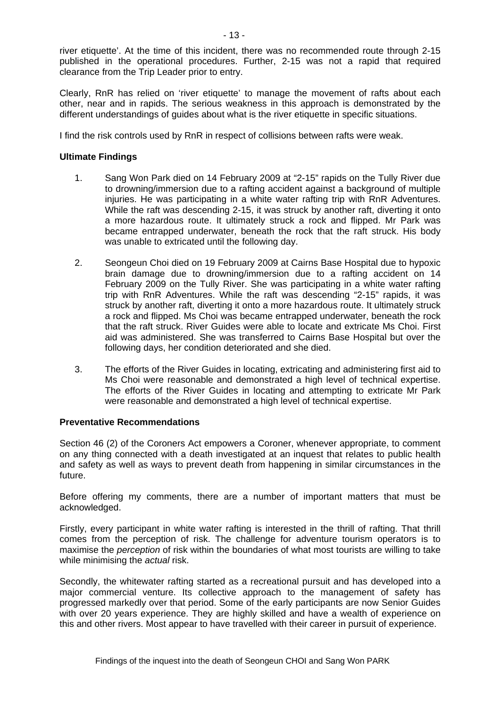river etiquette'. At the time of this incident, there was no recommended route through 2-15 published in the operational procedures. Further, 2-15 was not a rapid that required clearance from the Trip Leader prior to entry.

Clearly, RnR has relied on 'river etiquette' to manage the movement of rafts about each other, near and in rapids. The serious weakness in this approach is demonstrated by the different understandings of guides about what is the river etiquette in specific situations.

I find the risk controls used by RnR in respect of collisions between rafts were weak.

#### **Ultimate Findings**

- 1. Sang Won Park died on 14 February 2009 at "2-15" rapids on the Tully River due to drowning/immersion due to a rafting accident against a background of multiple injuries. He was participating in a white water rafting trip with RnR Adventures. While the raft was descending 2-15, it was struck by another raft, diverting it onto a more hazardous route. It ultimately struck a rock and flipped. Mr Park was became entrapped underwater, beneath the rock that the raft struck. His body was unable to extricated until the following day.
- 2. Seongeun Choi died on 19 February 2009 at Cairns Base Hospital due to hypoxic brain damage due to drowning/immersion due to a rafting accident on 14 February 2009 on the Tully River. She was participating in a white water rafting trip with RnR Adventures. While the raft was descending "2-15" rapids, it was struck by another raft, diverting it onto a more hazardous route. It ultimately struck a rock and flipped. Ms Choi was became entrapped underwater, beneath the rock that the raft struck. River Guides were able to locate and extricate Ms Choi. First aid was administered. She was transferred to Cairns Base Hospital but over the following days, her condition deteriorated and she died.
- 3. The efforts of the River Guides in locating, extricating and administering first aid to Ms Choi were reasonable and demonstrated a high level of technical expertise. The efforts of the River Guides in locating and attempting to extricate Mr Park were reasonable and demonstrated a high level of technical expertise.

#### **Preventative Recommendations**

Section 46 (2) of the Coroners Act empowers a Coroner, whenever appropriate, to comment on any thing connected with a death investigated at an inquest that relates to public health and safety as well as ways to prevent death from happening in similar circumstances in the future.

Before offering my comments, there are a number of important matters that must be acknowledged.

Firstly, every participant in white water rafting is interested in the thrill of rafting. That thrill comes from the perception of risk. The challenge for adventure tourism operators is to maximise the *perception* of risk within the boundaries of what most tourists are willing to take while minimising the *actual* risk.

Secondly, the whitewater rafting started as a recreational pursuit and has developed into a major commercial venture. Its collective approach to the management of safety has progressed markedly over that period. Some of the early participants are now Senior Guides with over 20 years experience. They are highly skilled and have a wealth of experience on this and other rivers. Most appear to have travelled with their career in pursuit of experience.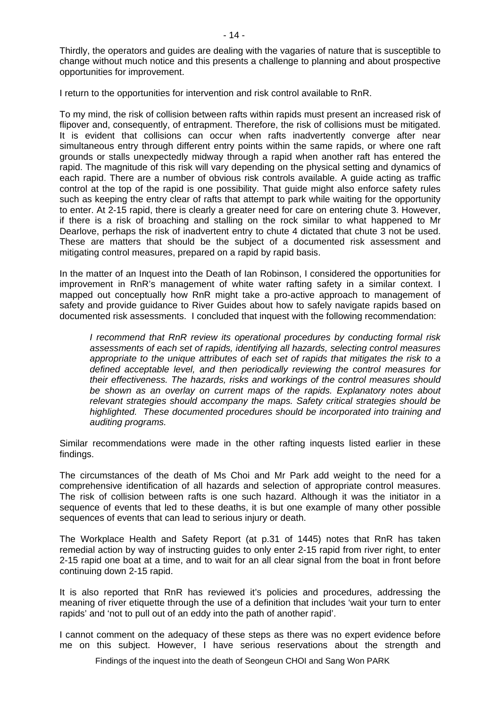Thirdly, the operators and guides are dealing with the vagaries of nature that is susceptible to change without much notice and this presents a challenge to planning and about prospective opportunities for improvement.

I return to the opportunities for intervention and risk control available to RnR.

To my mind, the risk of collision between rafts within rapids must present an increased risk of flipover and, consequently, of entrapment. Therefore, the risk of collisions must be mitigated. It is evident that collisions can occur when rafts inadvertently converge after near simultaneous entry through different entry points within the same rapids, or where one raft grounds or stalls unexpectedly midway through a rapid when another raft has entered the rapid. The magnitude of this risk will vary depending on the physical setting and dynamics of each rapid. There are a number of obvious risk controls available. A guide acting as traffic control at the top of the rapid is one possibility. That guide might also enforce safety rules such as keeping the entry clear of rafts that attempt to park while waiting for the opportunity to enter. At 2-15 rapid, there is clearly a greater need for care on entering chute 3. However, if there is a risk of broaching and stalling on the rock similar to what happened to Mr Dearlove, perhaps the risk of inadvertent entry to chute 4 dictated that chute 3 not be used. These are matters that should be the subject of a documented risk assessment and mitigating control measures, prepared on a rapid by rapid basis.

In the matter of an Inquest into the Death of Ian Robinson, I considered the opportunities for improvement in RnR's management of white water rafting safety in a similar context. I mapped out conceptually how RnR might take a pro-active approach to management of safety and provide guidance to River Guides about how to safely navigate rapids based on documented risk assessments. I concluded that inquest with the following recommendation:

*I recommend that RnR review its operational procedures by conducting formal risk assessments of each set of rapids, identifying all hazards, selecting control measures appropriate to the unique attributes of each set of rapids that mitigates the risk to a defined acceptable level, and then periodically reviewing the control measures for their effectiveness. The hazards, risks and workings of the control measures should be shown as an overlay on current maps of the rapids. Explanatory notes about relevant strategies should accompany the maps. Safety critical strategies should be highlighted. These documented procedures should be incorporated into training and auditing programs.* 

Similar recommendations were made in the other rafting inquests listed earlier in these findings.

The circumstances of the death of Ms Choi and Mr Park add weight to the need for a comprehensive identification of all hazards and selection of appropriate control measures. The risk of collision between rafts is one such hazard. Although it was the initiator in a sequence of events that led to these deaths, it is but one example of many other possible sequences of events that can lead to serious injury or death.

The Workplace Health and Safety Report (at p.31 of 1445) notes that RnR has taken remedial action by way of instructing guides to only enter 2-15 rapid from river right, to enter 2-15 rapid one boat at a time, and to wait for an all clear signal from the boat in front before continuing down 2-15 rapid.

It is also reported that RnR has reviewed it's policies and procedures, addressing the meaning of river etiquette through the use of a definition that includes 'wait your turn to enter rapids' and 'not to pull out of an eddy into the path of another rapid'.

I cannot comment on the adequacy of these steps as there was no expert evidence before me on this subject. However, I have serious reservations about the strength and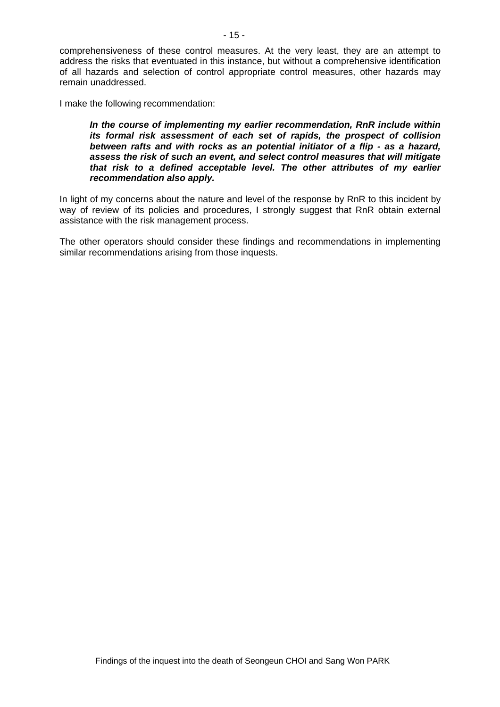comprehensiveness of these control measures. At the very least, they are an attempt to address the risks that eventuated in this instance, but without a comprehensive identification of all hazards and selection of control appropriate control measures, other hazards may remain unaddressed.

I make the following recommendation:

*In the course of implementing my earlier recommendation, RnR include within its formal risk assessment of each set of rapids, the prospect of collision between rafts and with rocks as an potential initiator of a flip - as a hazard, assess the risk of such an event, and select control measures that will mitigate that risk to a defined acceptable level. The other attributes of my earlier recommendation also apply.* 

In light of my concerns about the nature and level of the response by RnR to this incident by way of review of its policies and procedures, I strongly suggest that RnR obtain external assistance with the risk management process.

The other operators should consider these findings and recommendations in implementing similar recommendations arising from those inquests.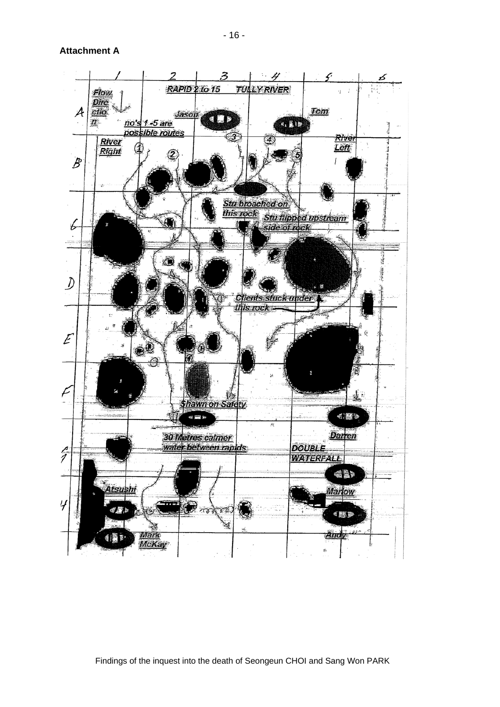**Attachment A**